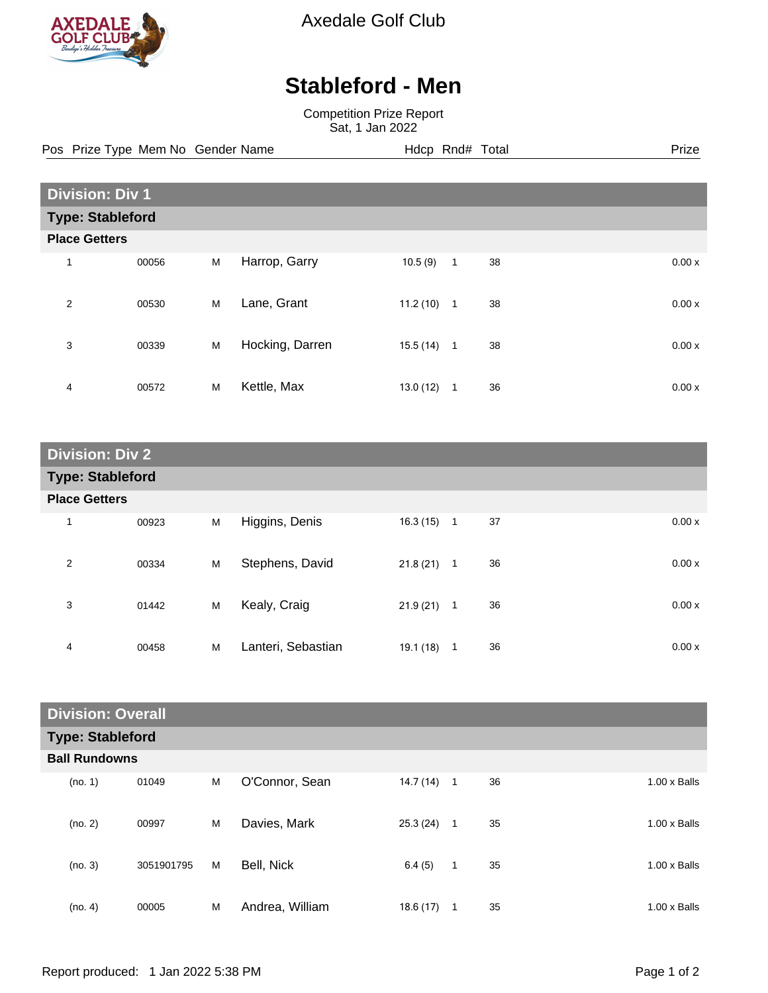

Axedale Golf Club

## **Stableford - Men**

Competition Prize Report Sat, 1 Jan 2022

Pos Prize Type Mem No Gender Name **Hdcp Rnd# Total** Prize Prize

| <b>Division: Div 1</b>  |       |   |                 |          |              |    |  |       |
|-------------------------|-------|---|-----------------|----------|--------------|----|--|-------|
| <b>Type: Stableford</b> |       |   |                 |          |              |    |  |       |
| <b>Place Getters</b>    |       |   |                 |          |              |    |  |       |
| 1                       | 00056 | M | Harrop, Garry   | 10.5(9)  | 1            | 38 |  | 0.00x |
| $\overline{2}$          | 00530 | M | Lane, Grant     | 11.2(10) | $\mathbf{1}$ | 38 |  | 0.00x |
| 3                       | 00339 | M | Hocking, Darren | 15.5(14) | $\mathbf{1}$ | 38 |  | 0.00x |
| 4                       | 00572 | M | Kettle, Max     | 13.0(12) | -1           | 36 |  | 0.00x |

| <b>Division: Div 2</b>  |       |   |                    |              |             |    |  |       |
|-------------------------|-------|---|--------------------|--------------|-------------|----|--|-------|
| <b>Type: Stableford</b> |       |   |                    |              |             |    |  |       |
| <b>Place Getters</b>    |       |   |                    |              |             |    |  |       |
| 1                       | 00923 | M | Higgins, Denis     | $16.3(15)$ 1 |             | 37 |  | 0.00x |
| $\overline{2}$          | 00334 | M | Stephens, David    | $21.8(21)$ 1 |             | 36 |  | 0.00x |
| 3                       | 01442 | M | Kealy, Craig       | $21.9(21)$ 1 |             | 36 |  | 0.00x |
| 4                       | 00458 | M | Lanteri, Sebastian | 19.1(18)     | $\mathbf 1$ | 36 |  | 0.00x |

| <b>Division: Overall</b> |            |   |                 |           |             |    |                     |
|--------------------------|------------|---|-----------------|-----------|-------------|----|---------------------|
| <b>Type: Stableford</b>  |            |   |                 |           |             |    |                     |
| <b>Ball Rundowns</b>     |            |   |                 |           |             |    |                     |
| (no. 1)                  | 01049      | M | O'Connor, Sean  | 14.7 (14) | $\mathbf 1$ | 36 | $1.00 \times$ Balls |
| (no. 2)                  | 00997      | M | Davies, Mark    | 25.3(24)  | 1           | 35 | $1.00 \times$ Balls |
| (no. 3)                  | 3051901795 | M | Bell, Nick      | 6.4(5)    | $\mathbf 1$ | 35 | $1.00 \times$ Balls |
| (no. 4)                  | 00005      | M | Andrea, William | 18.6(17)  | 1           | 35 | $1.00 \times$ Balls |